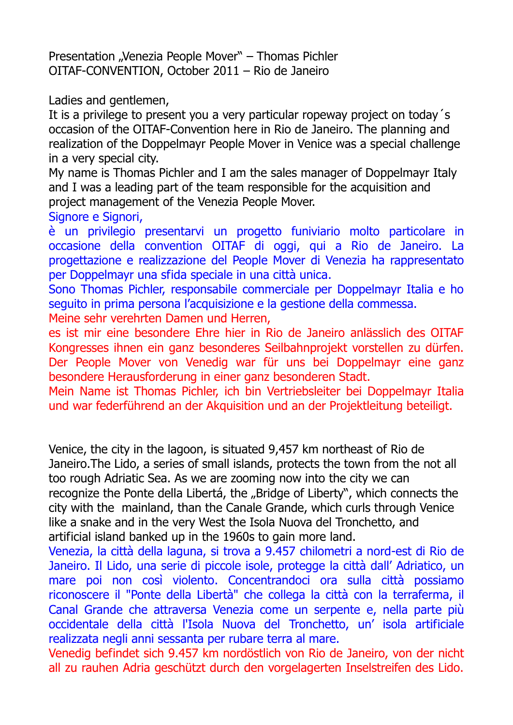Presentation "Venezia People Mover" – Thomas Pichler OITAF-CONVENTION, October 2011 – Rio de Janeiro

Ladies and gentlemen,

It is a privilege to present you a very particular ropeway project on today´s occasion of the OITAF-Convention here in Rio de Janeiro. The planning and realization of the Doppelmayr People Mover in Venice was a special challenge in a very special city.

My name is Thomas Pichler and I am the sales manager of Doppelmayr Italy and I was a leading part of the team responsible for the acquisition and project management of the Venezia People Mover.

Signore e Signori,

è un privilegio presentarvi un progetto funiviario molto particolare in occasione della convention OITAF di oggi, qui a Rio de Janeiro. La progettazione e realizzazione del People Mover di Venezia ha rappresentato per Doppelmayr una sfida speciale in una città unica.

Sono Thomas Pichler, responsabile commerciale per Doppelmayr Italia e ho seguito in prima persona l'acquisizione e la gestione della commessa.

Meine sehr verehrten Damen und Herren,

es ist mir eine besondere Ehre hier in Rio de Janeiro anlässlich des OITAF Kongresses ihnen ein ganz besonderes Seilbahnprojekt vorstellen zu dürfen. Der People Mover von Venedig war für uns bei Doppelmayr eine ganz besondere Herausforderung in einer ganz besonderen Stadt.

Mein Name ist Thomas Pichler, ich bin Vertriebsleiter bei Doppelmayr Italia und war federführend an der Akquisition und an der Projektleitung beteiligt.

Venice, the city in the lagoon, is situated 9,457 km northeast of Rio de Janeiro.The Lido, a series of small islands, protects the town from the not all too rough Adriatic Sea. As we are zooming now into the city we can recognize the Ponte della Libertá, the "Bridge of Liberty", which connects the city with the mainland, than the Canale Grande, which curls through Venice like a snake and in the very West the Isola Nuova del Tronchetto, and artificial island banked up in the 1960s to gain more land.

Venezia, la città della laguna, si trova a 9.457 chilometri a nord-est di Rio de Janeiro. Il Lido, una serie di piccole isole, protegge la città dall' Adriatico, un mare poi non così violento. Concentrandoci ora sulla città possiamo riconoscere il "Ponte della Libertà" che collega la città con la terraferma, il Canal Grande che attraversa Venezia come un serpente e, nella parte più occidentale della città l'Isola Nuova del Tronchetto, un' isola artificiale realizzata negli anni sessanta per rubare terra al mare.

Venedig befindet sich 9.457 km nordöstlich von Rio de Janeiro, von der nicht all zu rauhen Adria geschützt durch den vorgelagerten Inselstreifen des Lido.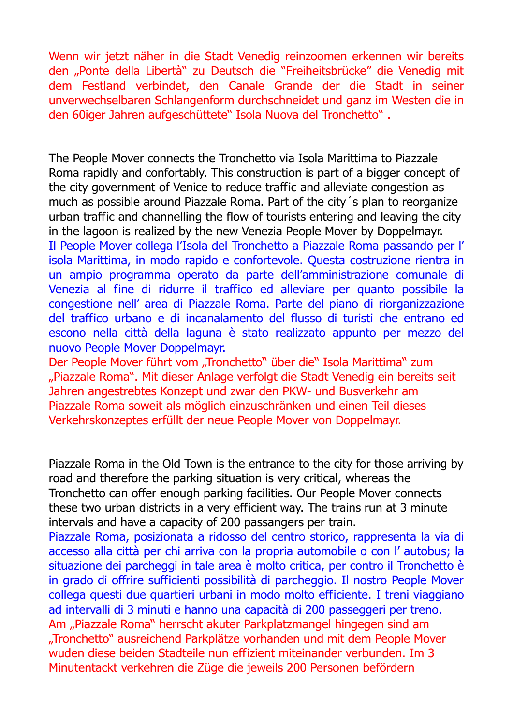Wenn wir jetzt näher in die Stadt Venedig reinzoomen erkennen wir bereits den "Ponte della Libertà" zu Deutsch die "Freiheitsbrücke" die Venedig mit dem Festland verbindet, den Canale Grande der die Stadt in seiner unverwechselbaren Schlangenform durchschneidet und ganz im Westen die in den 60iger Jahren aufgeschüttete" Isola Nuova del Tronchetto" .

The People Mover connects the Tronchetto via Isola Marittima to Piazzale Roma rapidly and confortably. This construction is part of a bigger concept of the city government of Venice to reduce traffic and alleviate congestion as much as possible around Piazzale Roma. Part of the city´s plan to reorganize urban traffic and channelling the flow of tourists entering and leaving the city in the lagoon is realized by the new Venezia People Mover by Doppelmayr. Il People Mover collega l'Isola del Tronchetto a Piazzale Roma passando per l' isola Marittima, in modo rapido e confortevole. Questa costruzione rientra in un ampio programma operato da parte dell'amministrazione comunale di Venezia al fine di ridurre il traffico ed alleviare per quanto possibile la congestione nell' area di Piazzale Roma. Parte del piano di riorganizzazione del traffico urbano e di incanalamento del flusso di turisti che entrano ed escono nella città della laguna è stato realizzato appunto per mezzo del nuovo People Mover Doppelmayr.

Der People Mover führt vom "Tronchetto" über die" Isola Marittima" zum "Piazzale Roma". Mit dieser Anlage verfolgt die Stadt Venedig ein bereits seit Jahren angestrebtes Konzept und zwar den PKW- und Busverkehr am Piazzale Roma soweit als möglich einzuschränken und einen Teil dieses Verkehrskonzeptes erfüllt der neue People Mover von Doppelmayr.

Piazzale Roma in the Old Town is the entrance to the city for those arriving by road and therefore the parking situation is very critical, whereas the Tronchetto can offer enough parking facilities. Our People Mover connects these two urban districts in a very efficient way. The trains run at 3 minute intervals and have a capacity of 200 passangers per train.

Piazzale Roma, posizionata a ridosso del centro storico, rappresenta la via di accesso alla città per chi arriva con la propria automobile o con l' autobus; la situazione dei parcheggi in tale area è molto critica, per contro il Tronchetto è in grado di offrire sufficienti possibilità di parcheggio. Il nostro People Mover collega questi due quartieri urbani in modo molto efficiente. I treni viaggiano ad intervalli di 3 minuti e hanno una capacità di 200 passeggeri per treno. Am "Piazzale Roma" herrscht akuter Parkplatzmangel hingegen sind am "Tronchetto" ausreichend Parkplätze vorhanden und mit dem People Mover wuden diese beiden Stadteile nun effizient miteinander verbunden. Im 3 Minutentackt verkehren die Züge die jeweils 200 Personen befördern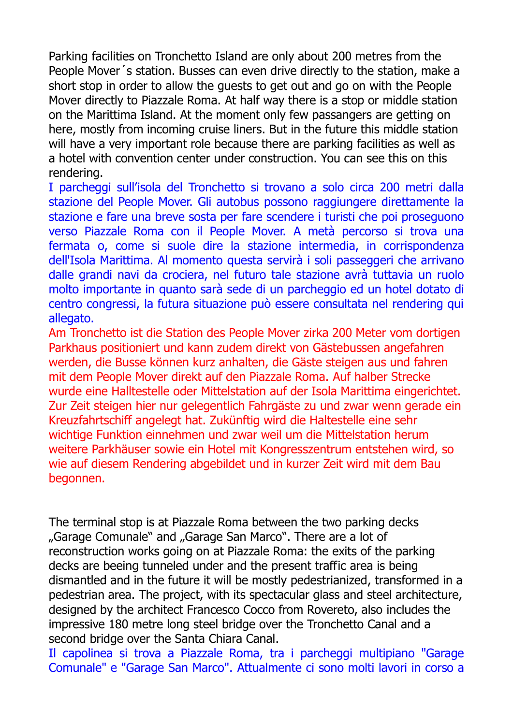Parking facilities on Tronchetto Island are only about 200 metres from the People Mover´s station. Busses can even drive directly to the station, make a short stop in order to allow the guests to get out and go on with the People Mover directly to Piazzale Roma. At half way there is a stop or middle station on the Marittima Island. At the moment only few passangers are getting on here, mostly from incoming cruise liners. But in the future this middle station will have a very important role because there are parking facilities as well as a hotel with convention center under construction. You can see this on this rendering.

I parcheggi sull'isola del Tronchetto si trovano a solo circa 200 metri dalla stazione del People Mover. Gli autobus possono raggiungere direttamente la stazione e fare una breve sosta per fare scendere i turisti che poi proseguono verso Piazzale Roma con il People Mover. A metà percorso si trova una fermata o, come si suole dire la stazione intermedia, in corrispondenza dell'Isola Marittima. Al momento questa servirà i soli passeggeri che arrivano dalle grandi navi da crociera, nel futuro tale stazione avrà tuttavia un ruolo molto importante in quanto sarà sede di un parcheggio ed un hotel dotato di centro congressi, la futura situazione può essere consultata nel rendering qui allegato.

Am Tronchetto ist die Station des People Mover zirka 200 Meter vom dortigen Parkhaus positioniert und kann zudem direkt von Gästebussen angefahren werden, die Busse können kurz anhalten, die Gäste steigen aus und fahren mit dem People Mover direkt auf den Piazzale Roma. Auf halber Strecke wurde eine Halltestelle oder Mittelstation auf der Isola Marittima eingerichtet. Zur Zeit steigen hier nur gelegentlich Fahrgäste zu und zwar wenn gerade ein Kreuzfahrtschiff angelegt hat. Zukünftig wird die Haltestelle eine sehr wichtige Funktion einnehmen und zwar weil um die Mittelstation herum weitere Parkhäuser sowie ein Hotel mit Kongresszentrum entstehen wird, so wie auf diesem Rendering abgebildet und in kurzer Zeit wird mit dem Bau begonnen.

The terminal stop is at Piazzale Roma between the two parking decks "Garage Comunale" and "Garage San Marco". There are a lot of reconstruction works going on at Piazzale Roma: the exits of the parking decks are beeing tunneled under and the present traffic area is being dismantled and in the future it will be mostly pedestrianized, transformed in a pedestrian area. The project, with its spectacular glass and steel architecture, designed by the architect Francesco Cocco from Rovereto, also includes the impressive 180 metre long steel bridge over the Tronchetto Canal and a second bridge over the Santa Chiara Canal.

Il capolinea si trova a Piazzale Roma, tra i parcheggi multipiano "Garage Comunale" e "Garage San Marco". Attualmente ci sono molti lavori in corso a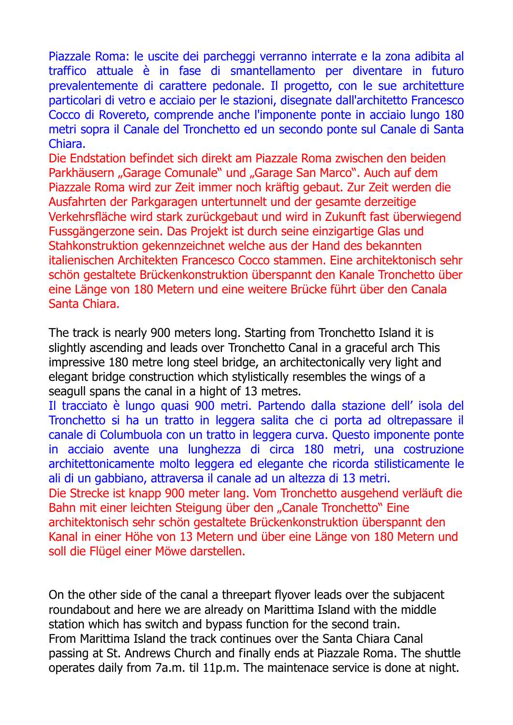Piazzale Roma: le uscite dei parcheggi verranno interrate e la zona adibita al traffico attuale è in fase di smantellamento per diventare in futuro prevalentemente di carattere pedonale. Il progetto, con le sue architetture particolari di vetro e acciaio per le stazioni, disegnate dall'architetto Francesco Cocco di Rovereto, comprende anche l'imponente ponte in acciaio lungo 180 metri sopra il Canale del Tronchetto ed un secondo ponte sul Canale di Santa Chiara.

Die Endstation befindet sich direkt am Piazzale Roma zwischen den beiden Parkhäusern "Garage Comunale" und "Garage San Marco". Auch auf dem Piazzale Roma wird zur Zeit immer noch kräftig gebaut. Zur Zeit werden die Ausfahrten der Parkgaragen untertunnelt und der gesamte derzeitige Verkehrsfläche wird stark zurückgebaut und wird in Zukunft fast überwiegend Fussgängerzone sein. Das Projekt ist durch seine einzigartige Glas und Stahkonstruktion gekennzeichnet welche aus der Hand des bekannten italienischen Architekten Francesco Cocco stammen. Eine architektonisch sehr schön gestaltete Brückenkonstruktion überspannt den Kanale Tronchetto über eine Länge von 180 Metern und eine weitere Brücke führt über den Canala Santa Chiara.

The track is nearly 900 meters long. Starting from Tronchetto Island it is slightly ascending and leads over Tronchetto Canal in a graceful arch This impressive 180 metre long steel bridge, an architectonically very light and elegant bridge construction which stylistically resembles the wings of a seagull spans the canal in a hight of 13 metres.

Il tracciato è lungo quasi 900 metri. Partendo dalla stazione dell' isola del Tronchetto si ha un tratto in leggera salita che ci porta ad oltrepassare il canale di Columbuola con un tratto in leggera curva. Questo imponente ponte in acciaio avente una lunghezza di circa 180 metri, una costruzione architettonicamente molto leggera ed elegante che ricorda stilisticamente le ali di un gabbiano, attraversa il canale ad un altezza di 13 metri.

Die Strecke ist knapp 900 meter lang. Vom Tronchetto ausgehend verläuft die Bahn mit einer leichten Steigung über den "Canale Tronchetto" Eine architektonisch sehr schön gestaltete Brückenkonstruktion überspannt den Kanal in einer Höhe von 13 Metern und über eine Länge von 180 Metern und soll die Flügel einer Möwe darstellen.

On the other side of the canal a threepart flyover leads over the subjacent roundabout and here we are already on Marittima Island with the middle station which has switch and bypass function for the second train. From Marittima Island the track continues over the Santa Chiara Canal passing at St. Andrews Church and finally ends at Piazzale Roma. The shuttle operates daily from 7a.m. til 11p.m. The maintenace service is done at night.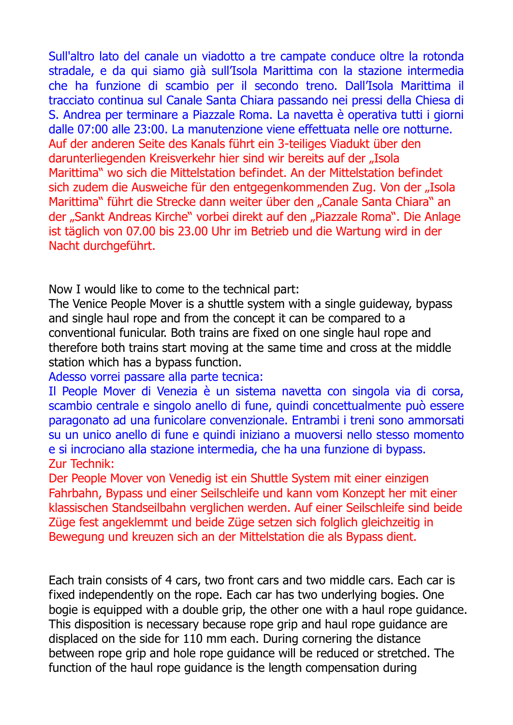Sull'altro lato del canale un viadotto a tre campate conduce oltre la rotonda stradale, e da qui siamo già sull'Isola Marittima con la stazione intermedia che ha funzione di scambio per il secondo treno. Dall'Isola Marittima il tracciato continua sul Canale Santa Chiara passando nei pressi della Chiesa di S. Andrea per terminare a Piazzale Roma. La navetta è operativa tutti i giorni dalle 07:00 alle 23:00. La manutenzione viene effettuata nelle ore notturne. Auf der anderen Seite des Kanals führt ein 3-teiliges Viadukt über den darunterliegenden Kreisverkehr hier sind wir bereits auf der "Isola Marittima" wo sich die Mittelstation befindet. An der Mittelstation befindet sich zudem die Ausweiche für den entgegenkommenden Zug. Von der "Isola Marittima" führt die Strecke dann weiter über den "Canale Santa Chiara" an der "Sankt Andreas Kirche" vorbei direkt auf den "Piazzale Roma". Die Anlage ist täglich von 07.00 bis 23.00 Uhr im Betrieb und die Wartung wird in der Nacht durchgeführt.

Now I would like to come to the technical part:

The Venice People Mover is a shuttle system with a single guideway, bypass and single haul rope and from the concept it can be compared to a conventional funicular. Both trains are fixed on one single haul rope and therefore both trains start moving at the same time and cross at the middle station which has a bypass function.

Adesso vorrei passare alla parte tecnica:

Il People Mover di Venezia è un sistema navetta con singola via di corsa, scambio centrale e singolo anello di fune, quindi concettualmente può essere paragonato ad una funicolare convenzionale. Entrambi i treni sono ammorsati su un unico anello di fune e quindi iniziano a muoversi nello stesso momento e si incrociano alla stazione intermedia, che ha una funzione di bypass. Zur Technik:

Der People Mover von Venedig ist ein Shuttle System mit einer einzigen Fahrbahn, Bypass und einer Seilschleife und kann vom Konzept her mit einer klassischen Standseilbahn verglichen werden. Auf einer Seilschleife sind beide Züge fest angeklemmt und beide Züge setzen sich folglich gleichzeitig in Bewegung und kreuzen sich an der Mittelstation die als Bypass dient.

Each train consists of 4 cars, two front cars and two middle cars. Each car is fixed independently on the rope. Each car has two underlying bogies. One bogie is equipped with a double grip, the other one with a haul rope guidance. This disposition is necessary because rope grip and haul rope guidance are displaced on the side for 110 mm each. During cornering the distance between rope grip and hole rope guidance will be reduced or stretched. The function of the haul rope guidance is the length compensation during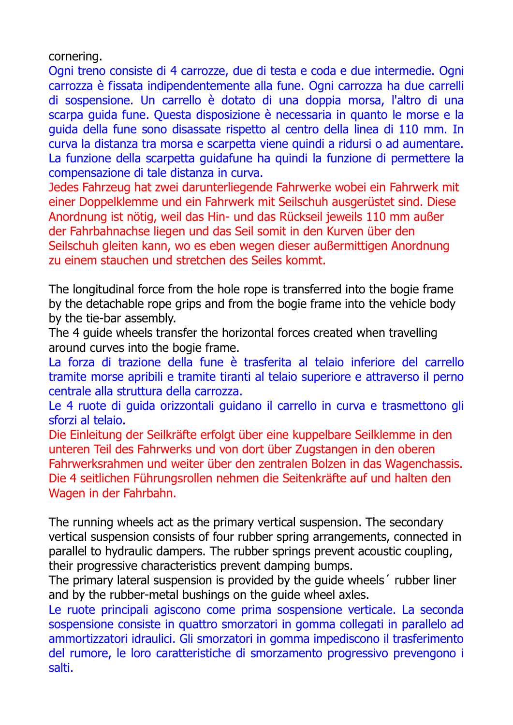cornering.

Ogni treno consiste di 4 carrozze, due di testa e coda e due intermedie. Ogni carrozza è fissata indipendentemente alla fune. Ogni carrozza ha due carrelli di sospensione. Un carrello è dotato di una doppia morsa, l'altro di una scarpa guida fune. Questa disposizione è necessaria in quanto le morse e la guida della fune sono disassate rispetto al centro della linea di 110 mm. In curva la distanza tra morsa e scarpetta viene quindi a ridursi o ad aumentare. La funzione della scarpetta guidafune ha quindi la funzione di permettere la compensazione di tale distanza in curva.

Jedes Fahrzeug hat zwei darunterliegende Fahrwerke wobei ein Fahrwerk mit einer Doppelklemme und ein Fahrwerk mit Seilschuh ausgerüstet sind. Diese Anordnung ist nötig, weil das Hin- und das Rückseil jeweils 110 mm außer der Fahrbahnachse liegen und das Seil somit in den Kurven über den Seilschuh gleiten kann, wo es eben wegen dieser außermittigen Anordnung zu einem stauchen und stretchen des Seiles kommt.

The longitudinal force from the hole rope is transferred into the bogie frame by the detachable rope grips and from the bogie frame into the vehicle body by the tie-bar assembly.

The 4 guide wheels transfer the horizontal forces created when travelling around curves into the bogie frame.

La forza di trazione della fune è trasferita al telaio inferiore del carrello tramite morse apribili e tramite tiranti al telaio superiore e attraverso il perno centrale alla struttura della carrozza.

Le 4 ruote di guida orizzontali guidano il carrello in curva e trasmettono gli sforzi al telaio.

Die Einleitung der Seilkräfte erfolgt über eine kuppelbare Seilklemme in den unteren Teil des Fahrwerks und von dort über Zugstangen in den oberen Fahrwerksrahmen und weiter über den zentralen Bolzen in das Wagenchassis. Die 4 seitlichen Führungsrollen nehmen die Seitenkräfte auf und halten den Wagen in der Fahrbahn.

The running wheels act as the primary vertical suspension. The secondary vertical suspension consists of four rubber spring arrangements, connected in parallel to hydraulic dampers. The rubber springs prevent acoustic coupling, their progressive characteristics prevent damping bumps.

The primary lateral suspension is provided by the guide wheels´ rubber liner and by the rubber-metal bushings on the guide wheel axles.

Le ruote principali agiscono come prima sospensione verticale. La seconda sospensione consiste in quattro smorzatori in gomma collegati in parallelo ad ammortizzatori idraulici. Gli smorzatori in gomma impediscono il trasferimento del rumore, le loro caratteristiche di smorzamento progressivo prevengono i salti.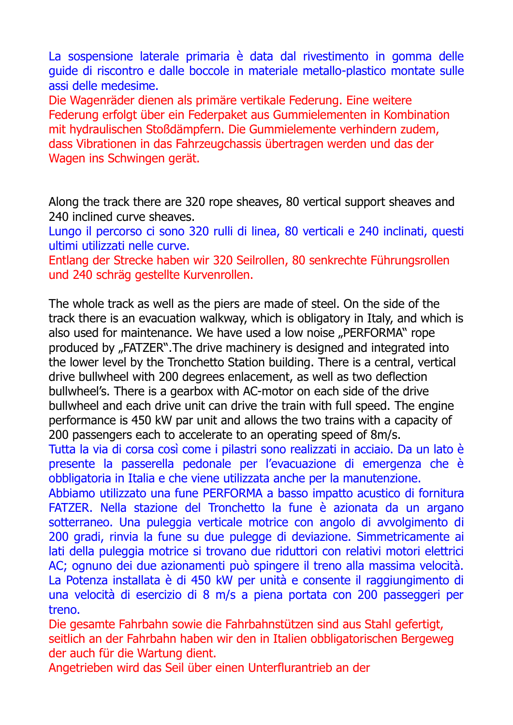La sospensione laterale primaria è data dal rivestimento in gomma delle guide di riscontro e dalle boccole in materiale metallo-plastico montate sulle assi delle medesime.

Die Wagenräder dienen als primäre vertikale Federung. Eine weitere Federung erfolgt über ein Federpaket aus Gummielementen in Kombination mit hydraulischen Stoßdämpfern. Die Gummielemente verhindern zudem, dass Vibrationen in das Fahrzeugchassis übertragen werden und das der Wagen ins Schwingen gerät.

Along the track there are 320 rope sheaves, 80 vertical support sheaves and 240 inclined curve sheaves.

Lungo il percorso ci sono 320 rulli di linea, 80 verticali e 240 inclinati, questi ultimi utilizzati nelle curve.

Entlang der Strecke haben wir 320 Seilrollen, 80 senkrechte Führungsrollen und 240 schräg gestellte Kurvenrollen.

The whole track as well as the piers are made of steel. On the side of the track there is an evacuation walkway, which is obligatory in Italy, and which is also used for maintenance. We have used a low noise "PERFORMA" rope produced by "FATZER". The drive machinery is designed and integrated into the lower level by the Tronchetto Station building. There is a central, vertical drive bullwheel with 200 degrees enlacement, as well as two deflection bullwheel's. There is a gearbox with AC-motor on each side of the drive bullwheel and each drive unit can drive the train with full speed. The engine performance is 450 kW par unit and allows the two trains with a capacity of 200 passengers each to accelerate to an operating speed of 8m/s.

Tutta la via di corsa così come i pilastri sono realizzati in acciaio. Da un lato è presente la passerella pedonale per l'evacuazione di emergenza che è obbligatoria in Italia e che viene utilizzata anche per la manutenzione.

Abbiamo utilizzato una fune PERFORMA a basso impatto acustico di fornitura FATZER. Nella stazione del Tronchetto la fune è azionata da un argano sotterraneo. Una puleggia verticale motrice con angolo di avvolgimento di 200 gradi, rinvia la fune su due pulegge di deviazione. Simmetricamente ai lati della puleggia motrice si trovano due riduttori con relativi motori elettrici AC; ognuno dei due azionamenti può spingere il treno alla massima velocità. La Potenza installata è di 450 kW per unità e consente il raggiungimento di una velocità di esercizio di 8 m/s a piena portata con 200 passeggeri per treno.

Die gesamte Fahrbahn sowie die Fahrbahnstützen sind aus Stahl gefertigt, seitlich an der Fahrbahn haben wir den in Italien obbligatorischen Bergeweg der auch für die Wartung dient.

Angetrieben wird das Seil über einen Unterflurantrieb an der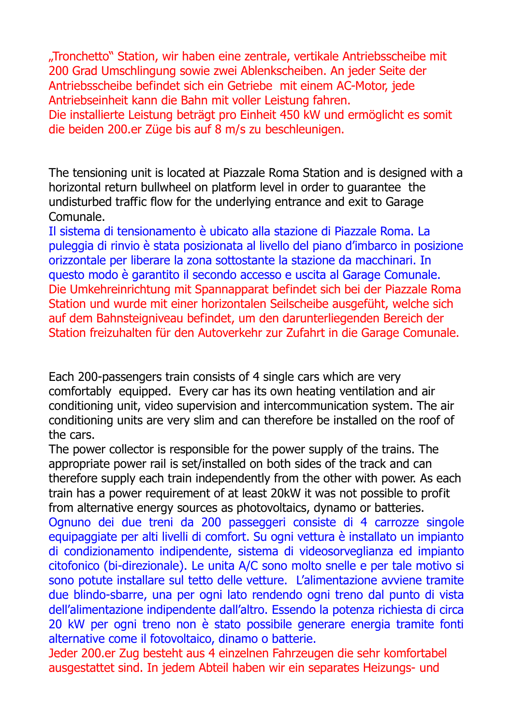"Tronchetto" Station, wir haben eine zentrale, vertikale Antriebsscheibe mit 200 Grad Umschlingung sowie zwei Ablenkscheiben. An jeder Seite der Antriebsscheibe befindet sich ein Getriebe mit einem AC-Motor, jede Antriebseinheit kann die Bahn mit voller Leistung fahren. Die installierte Leistung beträgt pro Einheit 450 kW und ermöglicht es somit

die beiden 200.er Züge bis auf 8 m/s zu beschleunigen.

The tensioning unit is located at Piazzale Roma Station and is designed with a horizontal return bullwheel on platform level in order to guarantee the undisturbed traffic flow for the underlying entrance and exit to Garage Comunale.

Il sistema di tensionamento è ubicato alla stazione di Piazzale Roma. La puleggia di rinvio è stata posizionata al livello del piano d'imbarco in posizione orizzontale per liberare la zona sottostante la stazione da macchinari. In questo modo è garantito il secondo accesso e uscita al Garage Comunale. Die Umkehreinrichtung mit Spannapparat befindet sich bei der Piazzale Roma Station und wurde mit einer horizontalen Seilscheibe ausgefüht, welche sich auf dem Bahnsteigniveau befindet, um den darunterliegenden Bereich der Station freizuhalten für den Autoverkehr zur Zufahrt in die Garage Comunale.

Each 200-passengers train consists of 4 single cars which are very comfortably equipped. Every car has its own heating ventilation and air conditioning unit, video supervision and intercommunication system. The air conditioning units are very slim and can therefore be installed on the roof of the cars.

The power collector is responsible for the power supply of the trains. The appropriate power rail is set/installed on both sides of the track and can therefore supply each train independently from the other with power. As each train has a power requirement of at least 20kW it was not possible to profit from alternative energy sources as photovoltaics, dynamo or batteries.

Ognuno dei due treni da 200 passeggeri consiste di 4 carrozze singole equipaggiate per alti livelli di comfort. Su ogni vettura è installato un impianto di condizionamento indipendente, sistema di videosorveglianza ed impianto citofonico (bi-direzionale). Le unita A/C sono molto snelle e per tale motivo si sono potute installare sul tetto delle vetture. L'alimentazione avviene tramite due blindo-sbarre, una per ogni lato rendendo ogni treno dal punto di vista dell'alimentazione indipendente dall'altro. Essendo la potenza richiesta di circa 20 kW per ogni treno non è stato possibile generare energia tramite fonti alternative come il fotovoltaico, dinamo o batterie.

Jeder 200.er Zug besteht aus 4 einzelnen Fahrzeugen die sehr komfortabel ausgestattet sind. In jedem Abteil haben wir ein separates Heizungs- und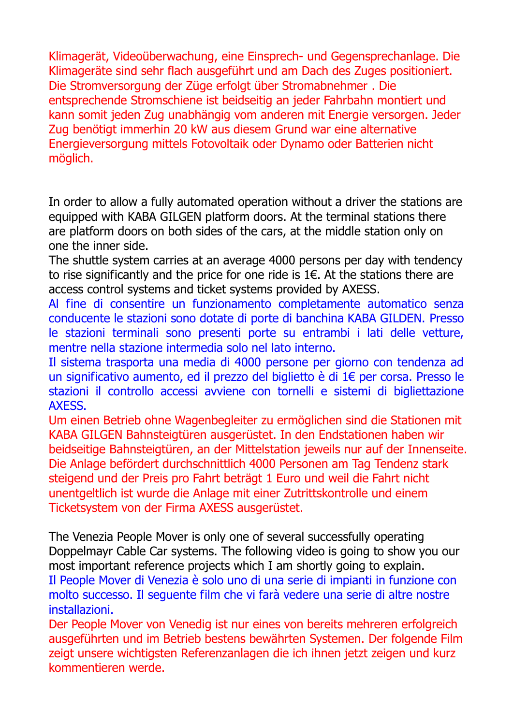Klimagerät, Videoüberwachung, eine Einsprech- und Gegensprechanlage. Die Klimageräte sind sehr flach ausgeführt und am Dach des Zuges positioniert. Die Stromversorgung der Züge erfolgt über Stromabnehmer . Die entsprechende Stromschiene ist beidseitig an jeder Fahrbahn montiert und kann somit jeden Zug unabhängig vom anderen mit Energie versorgen. Jeder Zug benötigt immerhin 20 kW aus diesem Grund war eine alternative Energieversorgung mittels Fotovoltaik oder Dynamo oder Batterien nicht möglich.

In order to allow a fully automated operation without a driver the stations are equipped with KABA GILGEN platform doors. At the terminal stations there are platform doors on both sides of the cars, at the middle station only on one the inner side.

The shuttle system carries at an average 4000 persons per day with tendency to rise significantly and the price for one ride is  $1 \in$ . At the stations there are access control systems and ticket systems provided by AXESS.

Al fine di consentire un funzionamento completamente automatico senza conducente le stazioni sono dotate di porte di banchina KABA GILDEN. Presso le stazioni terminali sono presenti porte su entrambi i lati delle vetture, mentre nella stazione intermedia solo nel lato interno.

Il sistema trasporta una media di 4000 persone per giorno con tendenza ad un significativo aumento, ed il prezzo del biglietto è di 1€ per corsa. Presso le stazioni il controllo accessi avviene con tornelli e sistemi di bigliettazione AXESS.

Um einen Betrieb ohne Wagenbegleiter zu ermöglichen sind die Stationen mit KABA GILGEN Bahnsteigtüren ausgerüstet. In den Endstationen haben wir beidseitige Bahnsteigtüren, an der Mittelstation jeweils nur auf der Innenseite. Die Anlage befördert durchschnittlich 4000 Personen am Tag Tendenz stark steigend und der Preis pro Fahrt beträgt 1 Euro und weil die Fahrt nicht unentgeltlich ist wurde die Anlage mit einer Zutrittskontrolle und einem Ticketsystem von der Firma AXESS ausgerüstet.

The Venezia People Mover is only one of several successfully operating Doppelmayr Cable Car systems. The following video is going to show you our most important reference projects which I am shortly going to explain. Il People Mover di Venezia è solo uno di una serie di impianti in funzione con molto successo. Il seguente film che vi farà vedere una serie di altre nostre installazioni.

Der People Mover von Venedig ist nur eines von bereits mehreren erfolgreich ausgeführten und im Betrieb bestens bewährten Systemen. Der folgende Film zeigt unsere wichtigsten Referenzanlagen die ich ihnen jetzt zeigen und kurz kommentieren werde.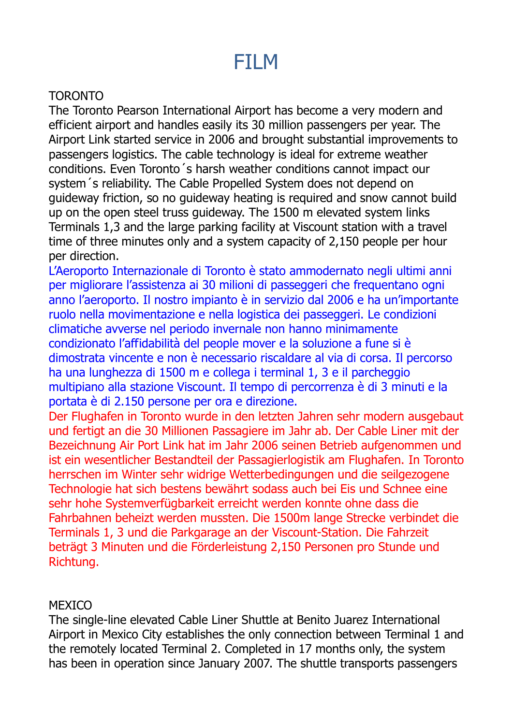# FILM

## TORONTO

The Toronto Pearson International Airport has become a very modern and efficient airport and handles easily its 30 million passengers per year. The Airport Link started service in 2006 and brought substantial improvements to passengers logistics. The cable technology is ideal for extreme weather conditions. Even Toronto´s harsh weather conditions cannot impact our system´s reliability. The Cable Propelled System does not depend on guideway friction, so no guideway heating is required and snow cannot build up on the open steel truss guideway. The 1500 m elevated system links Terminals 1,3 and the large parking facility at Viscount station with a travel time of three minutes only and a system capacity of 2,150 people per hour per direction.

L'Aeroporto Internazionale di Toronto è stato ammodernato negli ultimi anni per migliorare l'assistenza ai 30 milioni di passeggeri che frequentano ogni anno l'aeroporto. Il nostro impianto è in servizio dal 2006 e ha un'importante ruolo nella movimentazione e nella logistica dei passeggeri. Le condizioni climatiche avverse nel periodo invernale non hanno minimamente condizionato l'affidabilità del people mover e la soluzione a fune si è dimostrata vincente e non è necessario riscaldare al via di corsa. Il percorso ha una lunghezza di 1500 m e collega i terminal 1, 3 e il parcheggio multipiano alla stazione Viscount. Il tempo di percorrenza è di 3 minuti e la portata è di 2.150 persone per ora e direzione.

Der Flughafen in Toronto wurde in den letzten Jahren sehr modern ausgebaut und fertigt an die 30 Millionen Passagiere im Jahr ab. Der Cable Liner mit der Bezeichnung Air Port Link hat im Jahr 2006 seinen Betrieb aufgenommen und ist ein wesentlicher Bestandteil der Passagierlogistik am Flughafen. In Toronto herrschen im Winter sehr widrige Wetterbedingungen und die seilgezogene Technologie hat sich bestens bewährt sodass auch bei Eis und Schnee eine sehr hohe Systemverfügbarkeit erreicht werden konnte ohne dass die Fahrbahnen beheizt werden mussten. Die 1500m lange Strecke verbindet die Terminals 1, 3 und die Parkgarage an der Viscount-Station. Die Fahrzeit beträgt 3 Minuten und die Förderleistung 2,150 Personen pro Stunde und Richtung.

#### MEXICO

The single-line elevated Cable Liner Shuttle at Benito Juarez International Airport in Mexico City establishes the only connection between Terminal 1 and the remotely located Terminal 2. Completed in 17 months only, the system has been in operation since January 2007. The shuttle transports passengers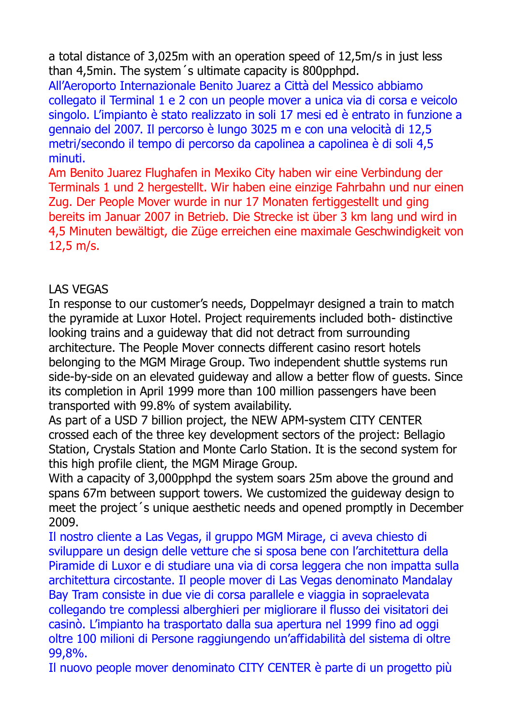a total distance of 3,025m with an operation speed of 12,5m/s in just less than 4,5min. The system´s ultimate capacity is 800pphpd.

All'Aeroporto Internazionale Benito Juarez a Città del Messico abbiamo collegato il Terminal 1 e 2 con un people mover a unica via di corsa e veicolo singolo. L'impianto è stato realizzato in soli 17 mesi ed è entrato in funzione a gennaio del 2007. Il percorso è lungo 3025 m e con una velocità di 12,5 metri/secondo il tempo di percorso da capolinea a capolinea è di soli 4,5 minuti.

Am Benito Juarez Flughafen in Mexiko City haben wir eine Verbindung der Terminals 1 und 2 hergestellt. Wir haben eine einzige Fahrbahn und nur einen Zug. Der People Mover wurde in nur 17 Monaten fertiggestellt und ging bereits im Januar 2007 in Betrieb. Die Strecke ist über 3 km lang und wird in 4,5 Minuten bewältigt, die Züge erreichen eine maximale Geschwindigkeit von 12,5 m/s.

### LAS VEGAS

In response to our customer's needs, Doppelmayr designed a train to match the pyramide at Luxor Hotel. Project requirements included both- distinctive looking trains and a guideway that did not detract from surrounding architecture. The People Mover connects different casino resort hotels belonging to the MGM Mirage Group. Two independent shuttle systems run side-by-side on an elevated guideway and allow a better flow of guests. Since its completion in April 1999 more than 100 million passengers have been transported with 99.8% of system availability.

As part of a USD 7 billion project, the NEW APM-system CITY CENTER crossed each of the three key development sectors of the project: Bellagio Station, Crystals Station and Monte Carlo Station. It is the second system for this high profile client, the MGM Mirage Group.

With a capacity of 3,000pphpd the system soars 25m above the ground and spans 67m between support towers. We customized the guideway design to meet the project´s unique aesthetic needs and opened promptly in December 2009.

Il nostro cliente a Las Vegas, il gruppo MGM Mirage, ci aveva chiesto di sviluppare un design delle vetture che si sposa bene con l'architettura della Piramide di Luxor e di studiare una via di corsa leggera che non impatta sulla architettura circostante. Il people mover di Las Vegas denominato Mandalay Bay Tram consiste in due vie di corsa parallele e viaggia in sopraelevata collegando tre complessi alberghieri per migliorare il flusso dei visitatori dei casinò. L'impianto ha trasportato dalla sua apertura nel 1999 fino ad oggi oltre 100 milioni di Persone raggiungendo un'affidabilità del sistema di oltre 99,8%.

Il nuovo people mover denominato CITY CENTER è parte di un progetto più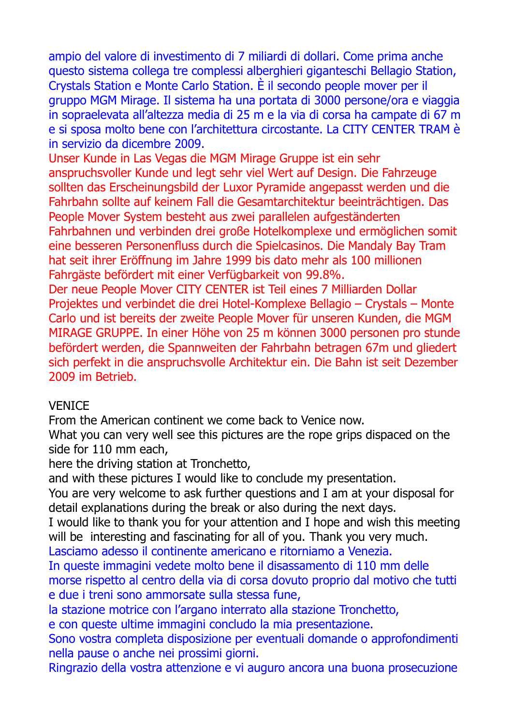ampio del valore di investimento di 7 miliardi di dollari. Come prima anche questo sistema collega tre complessi alberghieri giganteschi Bellagio Station, Crystals Station e Monte Carlo Station. È il secondo people mover per il gruppo MGM Mirage. Il sistema ha una portata di 3000 persone/ora e viaggia in sopraelevata all'altezza media di 25 m e la via di corsa ha campate di 67 m e si sposa molto bene con l'architettura circostante. La CITY CENTER TRAM è in servizio da dicembre 2009.

Unser Kunde in Las Vegas die MGM Mirage Gruppe ist ein sehr anspruchsvoller Kunde und legt sehr viel Wert auf Design. Die Fahrzeuge sollten das Erscheinungsbild der Luxor Pyramide angepasst werden und die Fahrbahn sollte auf keinem Fall die Gesamtarchitektur beeinträchtigen. Das People Mover System besteht aus zwei parallelen aufgeständerten Fahrbahnen und verbinden drei große Hotelkomplexe und ermöglichen somit eine besseren Personenfluss durch die Spielcasinos. Die Mandaly Bay Tram hat seit ihrer Eröffnung im Jahre 1999 bis dato mehr als 100 millionen Fahrgäste befördert mit einer Verfügbarkeit von 99.8%.

Der neue People Mover CITY CENTER ist Teil eines 7 Milliarden Dollar Projektes und verbindet die drei Hotel-Komplexe Bellagio – Crystals – Monte Carlo und ist bereits der zweite People Mover für unseren Kunden, die MGM MIRAGE GRUPPE. In einer Höhe von 25 m können 3000 personen pro stunde befördert werden, die Spannweiten der Fahrbahn betragen 67m und gliedert sich perfekt in die anspruchsvolle Architektur ein. Die Bahn ist seit Dezember 2009 im Betrieb.

#### **VENICE**

From the American continent we come back to Venice now.

What you can very well see this pictures are the rope grips dispaced on the side for 110 mm each,

here the driving station at Tronchetto,

and with these pictures I would like to conclude my presentation.

You are very welcome to ask further questions and I am at your disposal for detail explanations during the break or also during the next days.

I would like to thank you for your attention and I hope and wish this meeting will be interesting and fascinating for all of you. Thank you very much.

Lasciamo adesso il continente americano e ritorniamo a Venezia.

In queste immagini vedete molto bene il disassamento di 110 mm delle morse rispetto al centro della via di corsa dovuto proprio dal motivo che tutti e due i treni sono ammorsate sulla stessa fune,

la stazione motrice con l'argano interrato alla stazione Tronchetto,

e con queste ultime immagini concludo la mia presentazione.

Sono vostra completa disposizione per eventuali domande o approfondimenti nella pause o anche nei prossimi giorni.

Ringrazio della vostra attenzione e vi auguro ancora una buona prosecuzione